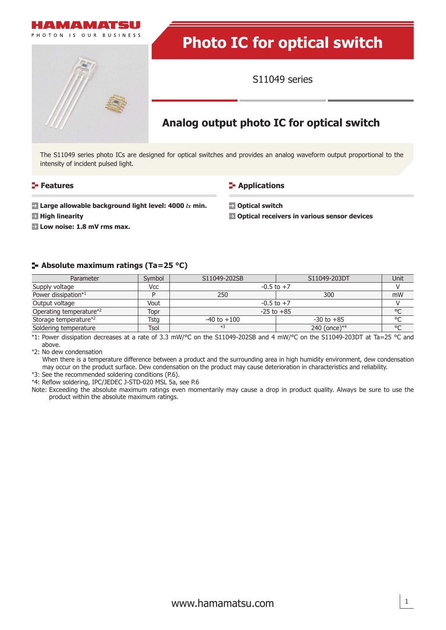



S11049 series

# **Analog output photo IC for optical switch**

The S11049 series photo ICs are designed for optical switches and provides an analog waveform output proportional to the intensity of incident pulsed light.

#### **Features**

#### **E-** Applications

- **Large allowable background light level: 4000** *lx* **min.**
- **High linearity**

**Low noise: 1.8 mV rms max.**

**Optical switch Optical receivers in various sensor devices**

#### **Absolute maximum ratings (Ta=25 °C)**

| Parameter               | Symbol      | S11049-202SB         | S11049-203DT    | Unit       |
|-------------------------|-------------|----------------------|-----------------|------------|
| Supply voltage          | Vcc         | $-0.5$ to $+7$       |                 |            |
| Power dissipation*1     |             | 250                  | 300             | mW         |
| Output voltage          | Vout        | $-0.5$ to $+7$       |                 |            |
| Operating temperature*2 | Topr        | °C<br>$-25$ to $+85$ |                 |            |
| Storage temperature*2   | Tsta        | $-40$ to $+100$      | $-30$ to $+85$  | $^{\circ}$ |
| Soldering temperature   | <b>Tsol</b> | $*3$                 | 240 (once) $*4$ | $\circ$    |

\*1: Power dissipation decreases at a rate of 3.3 mW/°C on the S11049-202SB and 4 mW/°C on the S11049-203DT at Ta=25 °C and above.

\*2: No dew condensation

When there is a temperature difference between a product and the surrounding area in high humidity environment, dew condensation may occur on the product surface. Dew condensation on the product may cause deterioration in characteristics and reliability.

\*3: See the recommended soldering conditions (P.6).

\*4: Reflow soldering, IPC/JEDEC J-STD-020 MSL 5a, see P.6

Note: Exceeding the absolute maximum ratings even momentarily may cause a drop in product quality. Always be sure to use the product within the absolute maximum ratings.

1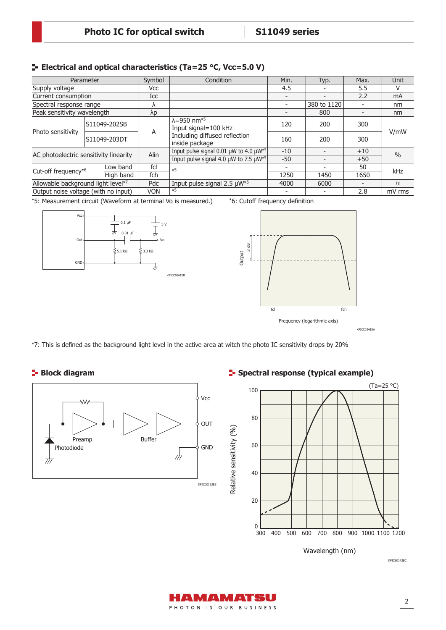## **E** Electrical and optical characteristics (Ta=25 °C, Vcc=5.0 V)

| Parameter                              |  | Symbol       | Condition                                                    | Min.                                                                                                       | Typ.        | Max.  | <b>Unit</b>   |      |
|----------------------------------------|--|--------------|--------------------------------------------------------------|------------------------------------------------------------------------------------------------------------|-------------|-------|---------------|------|
| Supply voltage                         |  | Vcc          |                                                              | 4.5                                                                                                        |             | 5.5   | V             |      |
| Current consumption                    |  | Icc          |                                                              |                                                                                                            |             | 2.2   | mA            |      |
| Spectral response range                |  |              |                                                              |                                                                                                            | 380 to 1120 |       | nm            |      |
| Peak sensitivity wavelength            |  | λp           |                                                              |                                                                                                            | 800         |       | nm            |      |
| Photo sensitivity                      |  | S11049-202SB | A                                                            | $\lambda$ =950 nm <sup>*5</sup><br>Input signal=100 kHz<br>Including diffused reflection<br>inside package | 120         | 200   | 300           | V/mW |
|                                        |  | S11049-203DT |                                                              |                                                                                                            | 160         | 200   | 300           |      |
| AC photoelectric sensitivity linearity |  | Alin         | Input pulse signal 0.01 $\mu$ W to 4.0 $\mu$ W <sup>*5</sup> | $-10$                                                                                                      |             | $+10$ | $\frac{0}{0}$ |      |
|                                        |  |              | Input pulse signal 4.0 $\mu$ W to 7.5 $\mu$ W <sup>*5</sup>  | $-50$                                                                                                      |             | $+50$ |               |      |
| Cut-off frequency*6                    |  | Low band     | fcl                                                          | $*5$                                                                                                       |             |       | 50            | kHz  |
|                                        |  | High band    | fch                                                          |                                                                                                            | 1250        | 1450  | 1650          |      |
| Allowable background light level*7     |  | Pdc          | Input pulse signal $2.5 \mu W^{*5}$                          | 4000                                                                                                       | 6000        |       | lx            |      |
| Output noise voltage (with no input)   |  | <b>VON</b>   | $*5$                                                         |                                                                                                            |             | 2.8   | mV rms        |      |

\*5: Measurement circuit (Waveform at terminal Vo is measured.)







\*7: This is defined as the background light level in the active area at witch the photo IC sensitivity drops by 20%

**Block diagram** 



## **F** Spectral response (typical example)



Wavelength (nm)

KPICB0142EC

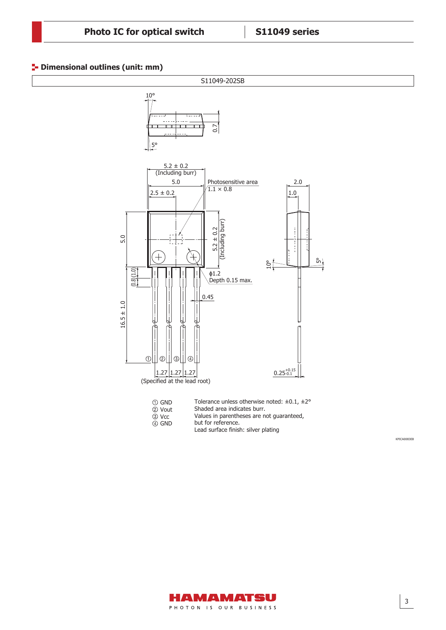#### **<sup>1</sup>** Dimensional outlines (unit: mm)



KPICA0083EB

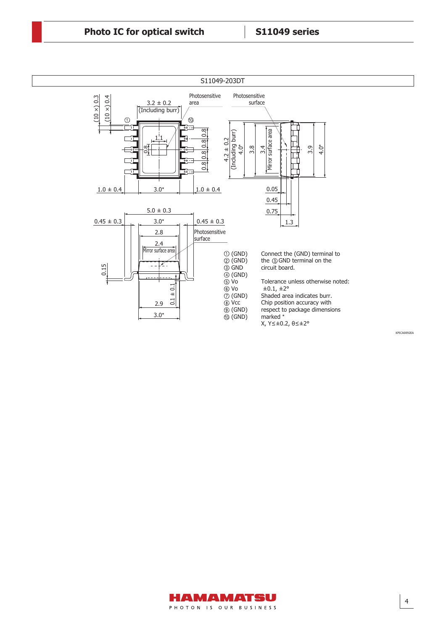

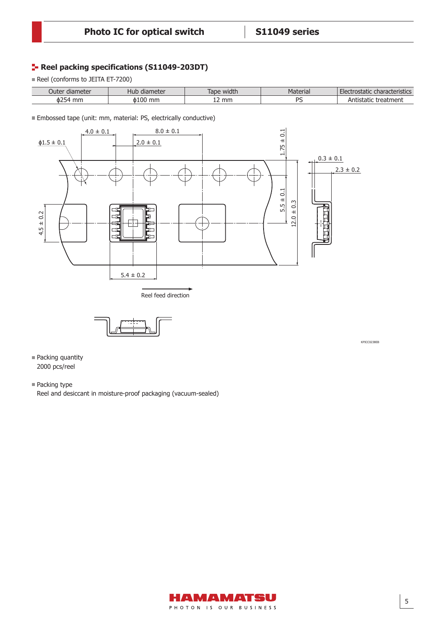## **Reel packing specifications (S11049-203DT)**

Reel (conforms to JEITA ET-7200)

| diameter<br>Juter | diameter<br>Hub | Tape width | Material | $-1$<br>: characteristics<br>. Fler<br>ostatic |
|-------------------|-----------------|------------|----------|------------------------------------------------|
| о254<br>mm        | mm              | 12 mm      | DC       | treatment<br>ALIL<br>. di K                    |

Embossed tape (unit: mm, material: PS, electrically conductive)





KPICC0238EB

- Packing quantity 2000 pcs/reel
- Packing type

Reel and desiccant in moisture-proof packaging (vacuum-sealed)

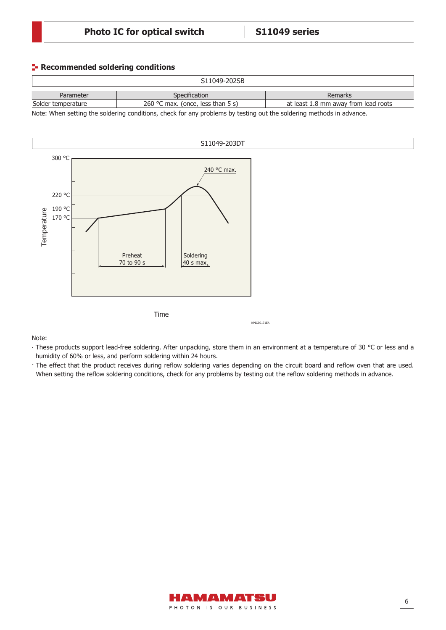#### **Recommended soldering conditions**

| S11049-202SB       |                                   |                                      |  |  |
|--------------------|-----------------------------------|--------------------------------------|--|--|
| Parameter          | Specification                     | Remarks                              |  |  |
| Solder temperature | 260 °C max. (once, less than 5 s) | at least 1.8 mm away from lead roots |  |  |

Note: When setting the soldering conditions, check for any problems by testing out the soldering methods in advance.



Note:

∙ These products support lead-free soldering. After unpacking, store them in an environment at a temperature of 30 °C or less and a humidity of 60% or less, and perform soldering within 24 hours.

· The effect that the product receives during reflow soldering varies depending on the circuit board and reflow oven that are used. When setting the reflow soldering conditions, check for any problems by testing out the reflow soldering methods in advance.